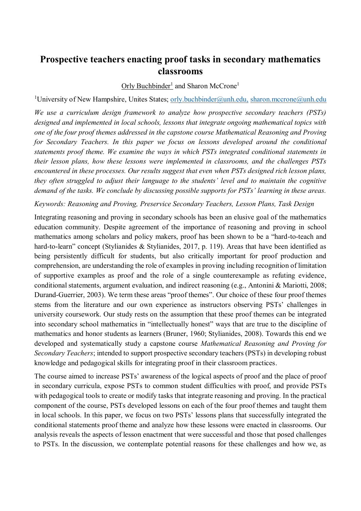# **Prospective teachers enacting proof tasks in secondary mathematics classrooms**

### Orly Buchbinder<sup>1</sup> and Sharon McCrone<sup>1</sup>

<sup>1</sup>University of New Hampshire, Unites States; [orly.buchbinder@unh.edu,](mailto:orly.buchbinder@unh.edu) sharon.mccrone@unh.edu

*We use a curriculum design framework to analyze how prospective secondary teachers (PSTs) designed and implemented in local schools, lessons that integrate ongoing mathematical topics with one of the four proof themes addressed in the capstone course Mathematical Reasoning and Proving for Secondary Teachers. In this paper we focus on lessons developed around the conditional statements proof theme. We examine the ways in which PSTs integrated conditional statements in their lesson plans, how these lessons were implemented in classrooms, and the challenges PSTs encountered in these processes. Our results suggest that even when PSTs designed rich lesson plans, they often struggled to adjust their language to the students' level and to maintain the cognitive demand of the tasks. We conclude by discussing possible supports for PSTs' learning in these areas.* 

#### *Keywords: Reasoning and Proving, Preservice Secondary Teachers, Lesson Plans, Task Design*

Integrating reasoning and proving in secondary schools has been an elusive goal of the mathematics education community. Despite agreement of the importance of reasoning and proving in school mathematics among scholars and policy makers, proof has been shown to be a "hard-to-teach and hard-to-learn" concept (Stylianides & Stylianides, 2017, p. 119). Areas that have been identified as being persistently difficult for students, but also critically important for proof production and comprehension, are understanding the role of examples in proving including recognition of limitation of supportive examples as proof and the role of a single counterexample as refuting evidence, conditional statements, argument evaluation, and indirect reasoning (e.g., Antonini & Mariotti, 2008; Durand-Guerrier, 2003). We term these areas "proof themes". Our choice of these four proof themes stems from the literature and our own experience as instructors observing PSTs' challenges in university coursework. Our study rests on the assumption that these proof themes can be integrated into secondary school mathematics in "intellectually honest" ways that are true to the discipline of mathematics and honor students as learners (Bruner, 1960; Stylianides, 2008). Towards this end we developed and systematically study a capstone course *Mathematical Reasoning and Proving for Secondary Teachers*; intended to support prospective secondary teachers (PSTs) in developing robust knowledge and pedagogical skills for integrating proof in their classroom practices.

The course aimed to increase PSTs' awareness of the logical aspects of proof and the place of proof in secondary curricula, expose PSTs to common student difficulties with proof, and provide PSTs with pedagogical tools to create or modify tasks that integrate reasoning and proving. In the practical component of the course, PSTs developed lessons on each of the four proof themes and taught them in local schools. In this paper, we focus on two PSTs' lessons plans that successfully integrated the conditional statements proof theme and analyze how these lessons were enacted in classrooms. Our analysis reveals the aspects of lesson enactment that were successful and those that posed challenges to PSTs. In the discussion, we contemplate potential reasons for these challenges and how we, as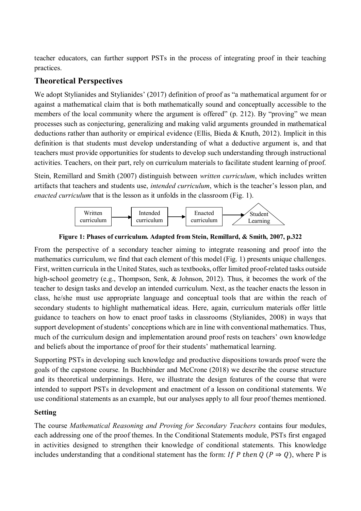teacher educators, can further support PSTs in the process of integrating proof in their teaching practices.

# **Theoretical Perspectives**

We adopt Stylianides and Stylianides' (2017) definition of proof as "a mathematical argument for or against a mathematical claim that is both mathematically sound and conceptually accessible to the members of the local community where the argument is offered" (p. 212). By "proving" we mean processes such as conjecturing, generalizing and making valid arguments grounded in mathematical deductions rather than authority or empirical evidence (Ellis, Bieda & Knuth, 2012). Implicit in this definition is that students must develop understanding of what a deductive argument is, and that teachers must provide opportunities for students to develop such understanding through instructional activities. Teachers, on their part, rely on curriculum materials to facilitate student learning of proof.

Stein, Remillard and Smith (2007) distinguish between *written curriculum*, which includes written artifacts that teachers and students use, *intended curriculum*, which is the teacher's lesson plan, and *enacted curriculum* that is the lesson as it unfolds in the classroom (Fig. 1).



**Figure 1: Phases of curriculum. Adapted from Stein, Remillard, & Smith, 2007, p.322**

From the perspective of a secondary teacher aiming to integrate reasoning and proof into the mathematics curriculum, we find that each element of this model (Fig. 1) presents unique challenges. First, written curricula in the United States, such as textbooks, offer limited proof-related tasks outside high-school geometry (e.g., Thompson, Senk, & Johnson, 2012). Thus, it becomes the work of the teacher to design tasks and develop an intended curriculum. Next, as the teacher enacts the lesson in class, he/she must use appropriate language and conceptual tools that are within the reach of secondary students to highlight mathematical ideas. Here, again, curriculum materials offer little guidance to teachers on how to enact proof tasks in classrooms (Stylianides, 2008) in ways that support development of students' conceptions which are in line with conventional mathematics. Thus, much of the curriculum design and implementation around proof rests on teachers' own knowledge and beliefs about the importance of proof for their students' mathematical learning.

Supporting PSTs in developing such knowledge and productive dispositions towards proof were the goals of the capstone course*.* In Buchbinder and McCrone (2018) we describe the course structure and its theoretical underpinnings. Here, we illustrate the design features of the course that were intended to support PSTs in development and enactment of a lesson on conditional statements. We use conditional statements as an example, but our analyses apply to all four proof themes mentioned.

### **Setting**

The course *Mathematical Reasoning and Proving for Secondary Teachers* contains four modules, each addressing one of the proof themes. In the Conditional Statements module, PSTs first engaged in activities designed to strengthen their knowledge of conditional statements. This knowledge includes understanding that a conditional statement has the form: If P then  $Q (P \Rightarrow Q)$ , where P is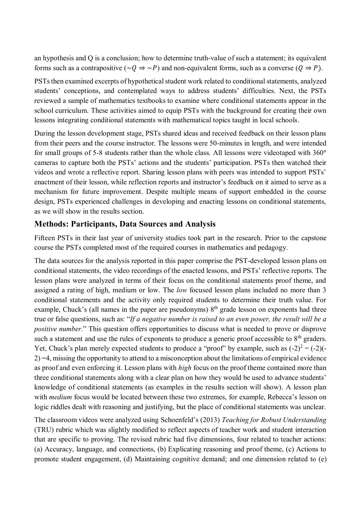an hypothesis and Q is a conclusion; how to determine truth-value of such a statement; its equivalent forms such as a contrapositive ( $\sim Q \Rightarrow \sim P$ ) and non-equivalent forms, such as a converse ( $Q \Rightarrow P$ ).

PSTs then examined excerpts of hypothetical student work related to conditional statements, analyzed students' conceptions, and contemplated ways to address students' difficulties. Next, the PSTs reviewed a sample of mathematics textbooks to examine where conditional statements appear in the school curriculum. These activities aimed to equip PSTs with the background for creating their own lessons integrating conditional statements with mathematical topics taught in local schools.

During the lesson development stage, PSTs shared ideas and received feedback on their lesson plans from their peers and the course instructor. The lessons were 50-minutes in length, and were intended for small groups of 5-8 students rather than the whole class. All lessons were videotaped with 360° cameras to capture both the PSTs' actions and the students' participation. PSTs then watched their videos and wrote a reflective report. Sharing lesson plans with peers was intended to support PSTs' enactment of their lesson, while reflection reports and instructor's feedback on it aimed to serve as a mechanism for future improvement. Despite multiple means of support embedded in the course design, PSTs experienced challenges in developing and enacting lessons on conditional statements, as we will show in the results section.

## **Methods: Participants, Data Sources and Analysis**

Fifteen PSTs in their last year of university studies took part in the research. Prior to the capstone course the PSTs completed most of the required courses in mathematics and pedagogy.

The data sources for the analysis reported in this paper comprise the PST-developed lesson plans on conditional statements, the video recordings of the enacted lessons, and PSTs' reflective reports. The lesson plans were analyzed in terms of their focus on the conditional statements proof theme, and assigned a rating of high, medium or low. The *low* focused lesson plans included no more than 3 conditional statements and the activity only required students to determine their truth value. For example, Chuck's (all names in the paper are pseudonyms)  $8<sup>th</sup>$  grade lesson on exponents had three true or false questions, such as: "*If a negative number is raised to an even power, the result will be a positive number.*" This question offers opportunities to discuss what is needed to prove or disprove such a statement and use the rules of exponents to produce a generic proof accessible to 8<sup>th</sup> graders. Yet, Chuck's plan merely expected students to produce a "proof" by example, such as  $(-2)^2 = (-2)(-$ 2) =4, missing the opportunity to attend to a misconception about the limitations of empirical evidence as proof and even enforcing it. Lesson plans with *high* focus on the proof theme contained more than three conditional statements along with a clear plan on how they would be used to advance students' knowledge of conditional statements (as examples in the results section will show). A lesson plan with *medium* focus would be located between these two extremes, for example, Rebecca's lesson on logic riddles dealt with reasoning and justifying, but the place of conditional statements was unclear.

The classroom videos were analyzed using Schoenfeld's (2013) *Teaching for Robust Understanding* (TRU) rubric which was slightly modified to reflect aspects of teacher work and student interaction that are specific to proving. The revised rubric had five dimensions, four related to teacher actions: (a) Accuracy, language, and connections, (b) Explicating reasoning and proof theme, (c) Actions to promote student engagement, (d) Maintaining cognitive demand; and one dimension related to (e)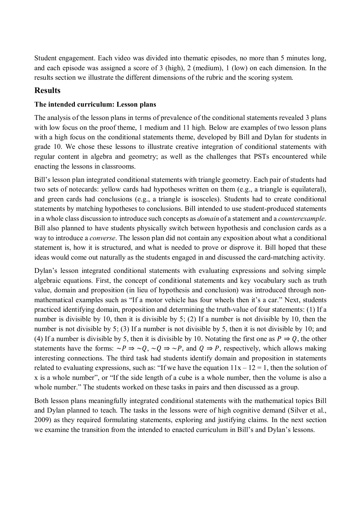Student engagement. Each video was divided into thematic episodes, no more than 5 minutes long, and each episode was assigned a score of 3 (high), 2 (medium), 1 (low) on each dimension. In the results section we illustrate the different dimensions of the rubric and the scoring system.

### **Results**

### **The intended curriculum: Lesson plans**

The analysis of the lesson plans in terms of prevalence of the conditional statements revealed 3 plans with low focus on the proof theme, 1 medium and 11 high. Below are examples of two lesson plans with a high focus on the conditional statements theme, developed by Bill and Dylan for students in grade 10. We chose these lessons to illustrate creative integration of conditional statements with regular content in algebra and geometry; as well as the challenges that PSTs encountered while enacting the lessons in classrooms.

Bill's lesson plan integrated conditional statements with triangle geometry. Each pair of students had two sets of notecards: yellow cards had hypotheses written on them (e.g., a triangle is equilateral), and green cards had conclusions (e.g., a triangle is isosceles). Students had to create conditional statements by matching hypotheses to conclusions. Bill intended to use student-produced statements in a whole class discussion to introduce such concepts as *domain* of a statement and a *counterexample*. Bill also planned to have students physically switch between hypothesis and conclusion cards as a way to introduce a *converse*. The lesson plan did not contain any exposition about what a conditional statement is, how it is structured, and what is needed to prove or disprove it. Bill hoped that these ideas would come out naturally as the students engaged in and discussed the card-matching activity.

Dylan's lesson integrated conditional statements with evaluating expressions and solving simple algebraic equations. First, the concept of conditional statements and key vocabulary such as truth value, domain and proposition (in lieu of hypothesis and conclusion) was introduced through nonmathematical examples such as "If a motor vehicle has four wheels then it's a car." Next, students practiced identifying domain, proposition and determining the truth-value of four statements: (1) If a number is divisible by 10, then it is divisible by 5; (2) If a number is not divisible by 10, then the number is not divisible by 5; (3) If a number is not divisible by 5, then it is not divisible by 10; and (4) If a number is divisible by 5, then it is divisible by 10. Notating the first one as  $P \Rightarrow Q$ , the other statements have the forms:  $\sim P \Rightarrow \sim Q$ ,  $\sim Q \Rightarrow \sim P$ , and  $Q \Rightarrow P$ , respectively, which allows making interesting connections. The third task had students identify domain and proposition in statements related to evaluating expressions, such as: "If we have the equation  $11x - 12 = 1$ , then the solution of x is a whole number", or "If the side length of a cube is a whole number, then the volume is also a whole number." The students worked on these tasks in pairs and then discussed as a group.

Both lesson plans meaningfully integrated conditional statements with the mathematical topics Bill and Dylan planned to teach. The tasks in the lessons were of high cognitive demand (Silver et al., 2009) as they required formulating statements, exploring and justifying claims. In the next section we examine the transition from the intended to enacted curriculum in Bill's and Dylan's lessons.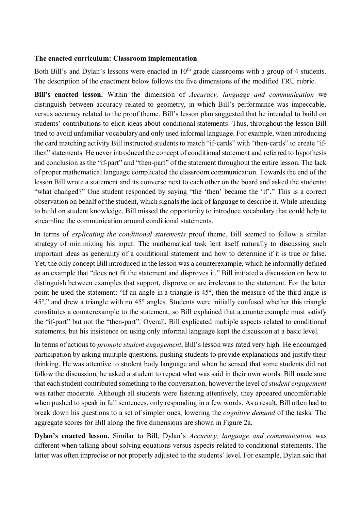### **The enacted curriculum: Classroom implementation**

Both Bill's and Dylan's lessons were enacted in  $10<sup>th</sup>$  grade classrooms with a group of 4 students. The description of the enactment below follows the five dimensions of the modified TRU rubric.

**Bill's enacted lesson.** Within the dimension of *Accuracy, language and communication* we distinguish between accuracy related to geometry, in which Bill's performance was impeccable, versus accuracy related to the proof theme. Bill's lesson plan suggested that he intended to build on students' contributions to elicit ideas about conditional statements. Thus, throughout the lesson Bill tried to avoid unfamiliar vocabulary and only used informal language. For example, when introducing the card matching activity Bill instructed students to match "if-cards" with "then-cards" to create "ifthen" statements. He never introduced the concept of conditional statement and referred to hypothesis and conclusion as the "if-part" and "then-part" of the statement throughout the entire lesson. The lack of proper mathematical language complicated the classroom communication. Towards the end of the lesson Bill wrote a statement and its converse next to each other on the board and asked the students: "what changed?" One student responded by saying "the 'then' became the 'if'." This is a correct observation on behalf of the student, which signals the lack of language to describe it. While intending to build on student knowledge, Bill missed the opportunity to introduce vocabulary that could help to streamline the communication around conditional statements.

In terms of *explicating the conditional statements* proof theme, Bill seemed to follow a similar strategy of minimizing his input. The mathematical task lent itself naturally to discussing such important ideas as generality of a conditional statement and how to determine if it is true or false. Yet, the only concept Bill introduced in the lesson was a counterexample, which he informally defined as an example that "does not fit the statement and disproves it." Bill initiated a discussion on how to distinguish between examples that support, disprove or are irrelevant to the statement. For the latter point he used the statement: "If an angle in a triangle is 45°, then the measure of the third angle is 45°," and drew a triangle with no 45° angles. Students were initially confused whether this triangle constitutes a counterexample to the statement, so Bill explained that a counterexample must satisfy the "if-part" but not the "then-part". Overall, Bill explicated multiple aspects related to conditional statements, but his insistence on using only informal language kept the discussion at a basic level.

In terms of actions to *promote student engagement*, Bill's lesson was rated very high. He encouraged participation by asking multiple questions, pushing students to provide explanations and justify their thinking. He was attentive to student body language and when he sensed that some students did not follow the discussion, he asked a student to repeat what was said in their own words. Bill made sure that each student contributed something to the conversation, however the level of *student engagement* was rather moderate. Although all students were listening attentively, they appeared uncomfortable when pushed to speak in full sentences, only responding in a few words. As a result, Bill often had to break down his questions to a set of simpler ones, lowering the *cognitive demand* of the tasks. The aggregate scores for Bill along the five dimensions are shown in Figure 2a.

**Dylan's enacted lesson.** Similar to Bill, Dylan's *Accuracy, language and communication* was different when talking about solving equations versus aspects related to conditional statements. The latter was often imprecise or not properly adjusted to the students' level. For example, Dylan said that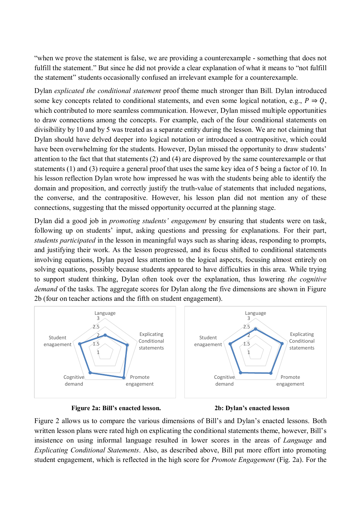"when we prove the statement is false, we are providing a counterexample - something that does not fulfill the statement." But since he did not provide a clear explanation of what it means to "not fulfill the statement" students occasionally confused an irrelevant example for a counterexample.

Dylan *explicated the conditional statement* proof theme much stronger than Bill. Dylan introduced some key concepts related to conditional statements, and even some logical notation, e.g.,  $P \Rightarrow Q$ , which contributed to more seamless communication. However, Dylan missed multiple opportunities to draw connections among the concepts. For example, each of the four conditional statements on divisibility by 10 and by 5 was treated as a separate entity during the lesson. We are not claiming that Dylan should have delved deeper into logical notation or introduced a contrapositive, which could have been overwhelming for the students. However, Dylan missed the opportunity to draw students' attention to the fact that that statements (2) and (4) are disproved by the same counterexample or that statements (1) and (3) require a general proof that uses the same key idea of 5 being a factor of 10. In his lesson reflection Dylan wrote how impressed he was with the students being able to identify the domain and proposition, and correctly justify the truth-value of statements that included negations, the converse, and the contrapositive. However, his lesson plan did not mention any of these connections, suggesting that the missed opportunity occurred at the planning stage.

Dylan did a good job in *promoting students' engagement* by ensuring that students were on task, following up on students' input, asking questions and pressing for explanations. For their part, *students participated* in the lesson in meaningful ways such as sharing ideas, responding to prompts, and justifying their work. As the lesson progressed, and its focus shifted to conditional statements involving equations, Dylan payed less attention to the logical aspects, focusing almost entirely on solving equations, possibly because students appeared to have difficulties in this area. While trying to support student thinking, Dylan often took over the explanation, thus lowering *the cognitive demand* of the tasks. The aggregate scores for Dylan along the five dimensions are shown in Figure 2b (four on teacher actions and the fifth on student engagement).







Figure 2 allows us to compare the various dimensions of Bill's and Dylan's enacted lessons. Both written lesson plans were rated high on explicating the conditional statements theme, however, Bill's insistence on using informal language resulted in lower scores in the areas of *Language* and *Explicating Conditional Statements*. Also, as described above, Bill put more effort into promoting student engagement, which is reflected in the high score for *Promote Engagement* (Fig. 2a). For the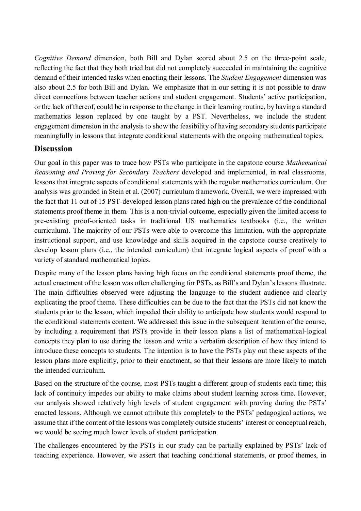*Cognitive Demand* dimension, both Bill and Dylan scored about 2.5 on the three-point scale, reflecting the fact that they both tried but did not completely succeeded in maintaining the cognitive demand of their intended tasks when enacting their lessons. The *Student Engagement* dimension was also about 2.5 for both Bill and Dylan. We emphasize that in our setting it is not possible to draw direct connections between teacher actions and student engagement. Students' active participation, or the lack of thereof, could be in response to the change in their learning routine, by having a standard mathematics lesson replaced by one taught by a PST. Nevertheless, we include the student engagement dimension in the analysis to show the feasibility of having secondary students participate meaningfully in lessons that integrate conditional statements with the ongoing mathematical topics.

## **Discussion**

Our goal in this paper was to trace how PSTs who participate in the capstone course *Mathematical Reasoning and Proving for Secondary Teachers* developed and implemented, in real classrooms, lessons that integrate aspects of conditional statements with the regular mathematics curriculum. Our analysis was grounded in Stein et al. (2007) curriculum framework. Overall, we were impressed with the fact that 11 out of 15 PST-developed lesson plans rated high on the prevalence of the conditional statements proof theme in them. This is a non-trivial outcome, especially given the limited access to pre-existing proof-oriented tasks in traditional US mathematics textbooks (i.e., the written curriculum). The majority of our PSTs were able to overcome this limitation, with the appropriate instructional support, and use knowledge and skills acquired in the capstone course creatively to develop lesson plans (i.e., the intended curriculum) that integrate logical aspects of proof with a variety of standard mathematical topics.

Despite many of the lesson plans having high focus on the conditional statements proof theme, the actual enactment of the lesson was often challenging for PSTs, as Bill's and Dylan's lessons illustrate. The main difficulties observed were adjusting the language to the student audience and clearly explicating the proof theme. These difficulties can be due to the fact that the PSTs did not know the students prior to the lesson, which impeded their ability to anticipate how students would respond to the conditional statements content. We addressed this issue in the subsequent iteration of the course, by including a requirement that PSTs provide in their lesson plans a list of mathematical-logical concepts they plan to use during the lesson and write a verbatim description of how they intend to introduce these concepts to students. The intention is to have the PSTs play out these aspects of the lesson plans more explicitly, prior to their enactment, so that their lessons are more likely to match the intended curriculum.

Based on the structure of the course, most PSTs taught a different group of students each time; this lack of continuity impedes our ability to make claims about student learning across time. However, our analysis showed relatively high levels of student engagement with proving during the PSTs' enacted lessons. Although we cannot attribute this completely to the PSTs' pedagogical actions, we assume that if the content of the lessons was completely outside students' interest or conceptual reach, we would be seeing much lower levels of student participation.

The challenges encountered by the PSTs in our study can be partially explained by PSTs' lack of teaching experience. However, we assert that teaching conditional statements, or proof themes, in